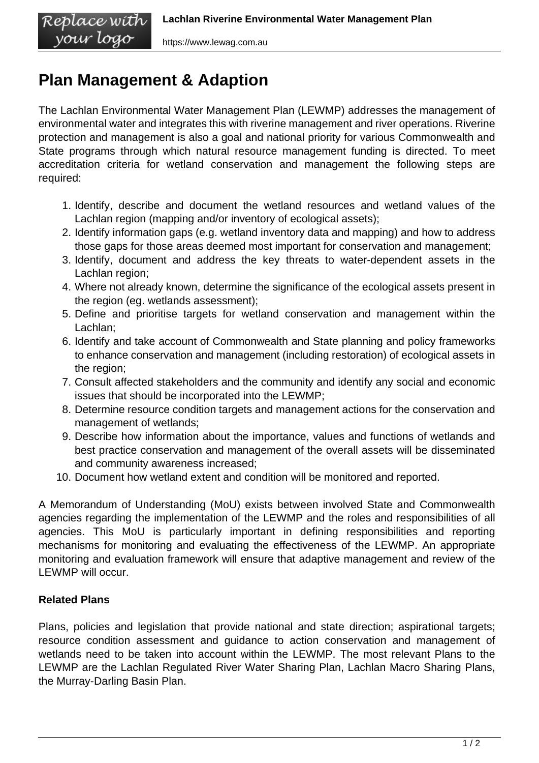## **Plan Management & Adaption**

vour logo

The Lachlan Environmental Water Management Plan (LEWMP) addresses the management of environmental water and integrates this with riverine management and river operations. Riverine protection and management is also a goal and national priority for various Commonwealth and State programs through which natural resource management funding is directed. To meet accreditation criteria for wetland conservation and management the following steps are required:

- 1. Identify, describe and document the wetland resources and wetland values of the Lachlan region (mapping and/or inventory of ecological assets);
- 2. Identify information gaps (e.g. wetland inventory data and mapping) and how to address those gaps for those areas deemed most important for conservation and management;
- 3. Identify, document and address the key threats to water-dependent assets in the Lachlan region;
- 4. Where not already known, determine the significance of the ecological assets present in the region (eg. wetlands assessment);
- 5. Define and prioritise targets for wetland conservation and management within the Lachlan;
- 6. Identify and take account of Commonwealth and State planning and policy frameworks to enhance conservation and management (including restoration) of ecological assets in the region;
- 7. Consult affected stakeholders and the community and identify any social and economic issues that should be incorporated into the LEWMP;
- 8. Determine resource condition targets and management actions for the conservation and management of wetlands;
- 9. Describe how information about the importance, values and functions of wetlands and best practice conservation and management of the overall assets will be disseminated and community awareness increased;
- 10. Document how wetland extent and condition will be monitored and reported.

A Memorandum of Understanding (MoU) exists between involved State and Commonwealth agencies regarding the implementation of the LEWMP and the roles and responsibilities of all agencies. This MoU is particularly important in defining responsibilities and reporting mechanisms for monitoring and evaluating the effectiveness of the LEWMP. An appropriate monitoring and evaluation framework will ensure that adaptive management and review of the LEWMP will occur.

## **Related Plans**

Plans, policies and legislation that provide national and state direction; aspirational targets; resource condition assessment and guidance to action conservation and management of wetlands need to be taken into account within the LEWMP. The most relevant Plans to the LEWMP are the Lachlan Regulated River Water Sharing Plan, Lachlan Macro Sharing Plans, the Murray-Darling Basin Plan.